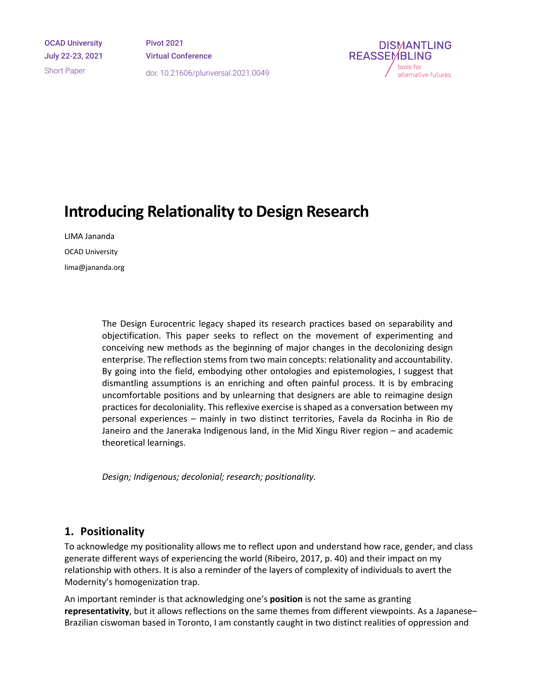OCAD University July 22-23, 2021 Short Paper

Pivot 2021 Virtual Conference doi: 10.21606/pluriversal.2021.0049



# **Introducing Relationality to Design Research**

LIMA Jananda OCAD University lima@jananda.org

> The Design Eurocentric legacy shaped its research practices based on separability and objectification. This paper seeks to reflect on the movement of experimenting and conceiving new methods as the beginning of major changes in the decolonizing design enterprise. The reflection stems from two main concepts: relationality and accountability. By going into the field, embodying other ontologies and epistemologies, I suggest that dismantling assumptions is an enriching and often painful process. It is by embracing uncomfortable positions and by unlearning that designers are able to reimagine design practices for decoloniality. This reflexive exercise is shaped as a conversation between my personal experiences – mainly in two distinct territories, Favela da Rocinha in Rio de Janeiro and the Janeraka Indigenous land, in the Mid Xingu River region – and academic theoretical learnings.

*Design; Indigenous; decolonial; research; positionality.*

## **1. Positionality**

To acknowledge my positionality allows me to reflect upon and understand how race, gender, and class generate different ways of experiencing the world (Ribeiro, 2017, p. 40) and their impact on my relationship with others. It is also a reminder of the layers of complexity of individuals to avert the Modernity's homogenization trap.

An important reminder is that acknowledging one's **position** is not the same as granting **representativity**, but it allows reflections on the same themes from different viewpoints. As a Japanese– Brazilian ciswoman based in Toronto, I am constantly caught in two distinct realities of oppression and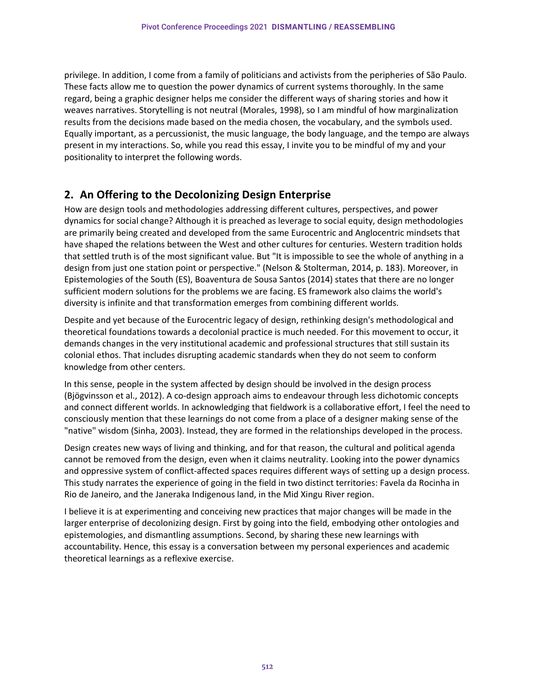privilege. In addition, I come from a family of politicians and activists from the peripheries of São Paulo. These facts allow me to question the power dynamics of current systems thoroughly. In the same regard, being a graphic designer helps me consider the different ways of sharing stories and how it weaves narratives. Storytelling is not neutral (Morales, 1998), so I am mindful of how marginalization results from the decisions made based on the media chosen, the vocabulary, and the symbols used. Equally important, as a percussionist, the music language, the body language, and the tempo are always present in my interactions. So, while you read this essay, I invite you to be mindful of my and your positionality to interpret the following words.

## **2. An Offering to the Decolonizing Design Enterprise**

How are design tools and methodologies addressing different cultures, perspectives, and power dynamics for social change? Although it is preached as leverage to social equity, design methodologies are primarily being created and developed from the same Eurocentric and Anglocentric mindsets that have shaped the relations between the West and other cultures for centuries. Western tradition holds that settled truth is of the most significant value. But "It is impossible to see the whole of anything in a design from just one station point or perspective." (Nelson & Stolterman, 2014, p. 183). Moreover, in Epistemologies of the South (ES), Boaventura de Sousa Santos (2014) states that there are no longer sufficient modern solutions for the problems we are facing. ES framework also claims the world's diversity is infinite and that transformation emerges from combining different worlds.

Despite and yet because of the Eurocentric legacy of design, rethinking design's methodological and theoretical foundations towards a decolonial practice is much needed. For this movement to occur, it demands changes in the very institutional academic and professional structures that still sustain its colonial ethos. That includes disrupting academic standards when they do not seem to conform knowledge from other centers.

In this sense, people in the system affected by design should be involved in the design process (Bjögvinsson et al., 2012). A co-design approach aims to endeavour through less dichotomic concepts and connect different worlds. In acknowledging that fieldwork is a collaborative effort, I feel the need to consciously mention that these learnings do not come from a place of a designer making sense of the "native" wisdom (Sinha, 2003). Instead, they are formed in the relationships developed in the process.

Design creates new ways of living and thinking, and for that reason, the cultural and political agenda cannot be removed from the design, even when it claims neutrality. Looking into the power dynamics and oppressive system of conflict-affected spaces requires different ways of setting up a design process. This study narrates the experience of going in the field in two distinct territories: Favela da Rocinha in Rio de Janeiro, and the Janeraka Indigenous land, in the Mid Xingu River region.

I believe it is at experimenting and conceiving new practices that major changes will be made in the larger enterprise of decolonizing design. First by going into the field, embodying other ontologies and epistemologies, and dismantling assumptions. Second, by sharing these new learnings with accountability. Hence, this essay is a conversation between my personal experiences and academic theoretical learnings as a reflexive exercise.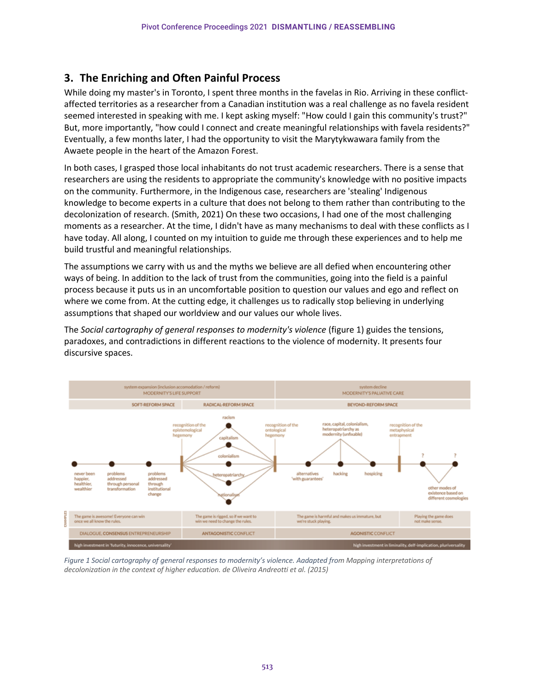## **3. The Enriching and Often Painful Process**

While doing my master's in Toronto, I spent three months in the favelas in Rio. Arriving in these conflictaffected territories as a researcher from a Canadian institution was a real challenge as no favela resident seemed interested in speaking with me. I kept asking myself: "How could I gain this community's trust?" But, more importantly, "how could I connect and create meaningful relationships with favela residents?" Eventually, a few months later, I had the opportunity to visit the Marytykwawara family from the Awaete people in the heart of the Amazon Forest.

In both cases, I grasped those local inhabitants do not trust academic researchers. There is a sense that researchers are using the residents to appropriate the community's knowledge with no positive impacts on the community. Furthermore, in the Indigenous case, researchers are 'stealing' Indigenous knowledge to become experts in a culture that does not belong to them rather than contributing to the decolonization of research. (Smith, 2021) On these two occasions, I had one of the most challenging moments as a researcher. At the time, I didn't have as many mechanisms to deal with these conflicts as I have today. All along, I counted on my intuition to guide me through these experiences and to help me build trustful and meaningful relationships.

The assumptions we carry with us and the myths we believe are all defied when encountering other ways of being. In addition to the lack of trust from the communities, going into the field is a painful process because it puts us in an uncomfortable position to question our values and ego and reflect on where we come from. At the cutting edge, it challenges us to radically stop believing in underlying assumptions that shaped our worldview and our values our whole lives.

The *Social cartography of general responses to modernity's violence* (figure 1) guides the tensions, paradoxes, and contradictions in different reactions to the violence of modernity. It presents four discursive spaces.



Figure 1 Social cartography of general responses to modernity's violence. Aadapted from Mapping interpretations of *decolonization in the context of higher education. de Oliveira Andreotti et al. (2015)*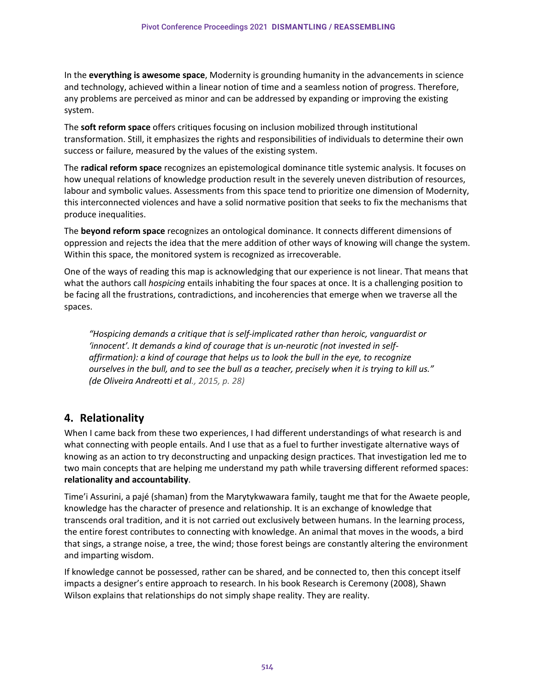In the **everything is awesome space**, Modernity is grounding humanity in the advancements in science and technology, achieved within a linear notion of time and a seamless notion of progress. Therefore, any problems are perceived as minor and can be addressed by expanding or improving the existing system.

The **soft reform space** offers critiques focusing on inclusion mobilized through institutional transformation. Still, it emphasizes the rights and responsibilities of individuals to determine their own success or failure, measured by the values of the existing system.

The **radical reform space** recognizes an epistemological dominance title systemic analysis. It focuses on how unequal relations of knowledge production result in the severely uneven distribution of resources, labour and symbolic values. Assessments from this space tend to prioritize one dimension of Modernity, this interconnected violences and have a solid normative position that seeks to fix the mechanisms that produce inequalities.

The **beyond reform space** recognizes an ontological dominance. It connects different dimensions of oppression and rejects the idea that the mere addition of other ways of knowing will change the system. Within this space, the monitored system is recognized as irrecoverable.

One of the ways of reading this map is acknowledging that our experience is not linear. That means that what the authors call *hospicing* entails inhabiting the four spaces at once. It is a challenging position to be facing all the frustrations, contradictions, and incoherencies that emerge when we traverse all the spaces.

*"Hospicing demands a critique that is self-implicated rather than heroic, vanguardist or 'innocent'. It demands a kind of courage that is un-neurotic (not invested in selfaffirmation): a kind of courage that helps us to look the bull in the eye, to recognize ourselves in the bull, and to see the bull as a teacher, precisely when it is trying to kill us." (de Oliveira Andreotti et al., 2015, p. 28)*

## **4. Relationality**

When I came back from these two experiences, I had different understandings of what research is and what connecting with people entails. And I use that as a fuel to further investigate alternative ways of knowing as an action to try deconstructing and unpacking design practices. That investigation led me to two main concepts that are helping me understand my path while traversing different reformed spaces: **relationality and accountability**.

Time'i Assurini, a pajé (shaman) from the Marytykwawara family, taught me that for the Awaete people, knowledge has the character of presence and relationship. It is an exchange of knowledge that transcends oral tradition, and it is not carried out exclusively between humans. In the learning process, the entire forest contributes to connecting with knowledge. An animal that moves in the woods, a bird that sings, a strange noise, a tree, the wind; those forest beings are constantly altering the environment and imparting wisdom.

If knowledge cannot be possessed, rather can be shared, and be connected to, then this concept itself impacts a designer's entire approach to research. In his book Research is Ceremony (2008), Shawn Wilson explains that relationships do not simply shape reality. They are reality.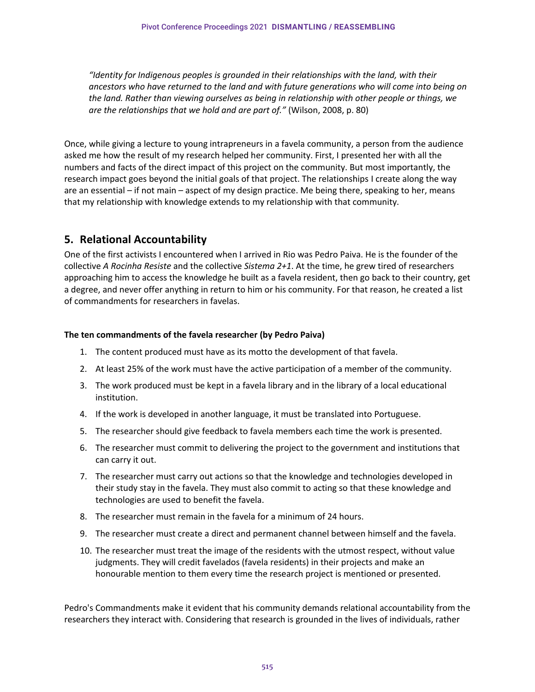*"Identity for Indigenous peoples is grounded in their relationships with the land, with their ancestors who have returned to the land and with future generations who will come into being on the land. Rather than viewing ourselves as being in relationship with other people or things, we are the relationships that we hold and are part of."* (Wilson, 2008, p. 80)

Once, while giving a lecture to young intrapreneurs in a favela community, a person from the audience asked me how the result of my research helped her community. First, I presented her with all the numbers and facts of the direct impact of this project on the community. But most importantly, the research impact goes beyond the initial goals of that project. The relationships I create along the way are an essential – if not main – aspect of my design practice. Me being there, speaking to her, means that my relationship with knowledge extends to my relationship with that community.

## **5. Relational Accountability**

One of the first activists I encountered when I arrived in Rio was Pedro Paiva. He is the founder of the collective *A Rocinha Resiste* and the collective *Sistema 2+1*. At the time, he grew tired of researchers approaching him to access the knowledge he built as a favela resident, then go back to their country, get a degree, and never offer anything in return to him or his community. For that reason, he created a list of commandments for researchers in favelas.

### **The ten commandments of the favela researcher (by Pedro Paiva)**

- 1. The content produced must have as its motto the development of that favela.
- 2. At least 25% of the work must have the active participation of a member of the community.
- 3. The work produced must be kept in a favela library and in the library of a local educational institution.
- 4. If the work is developed in another language, it must be translated into Portuguese.
- 5. The researcher should give feedback to favela members each time the work is presented.
- 6. The researcher must commit to delivering the project to the government and institutions that can carry it out.
- 7. The researcher must carry out actions so that the knowledge and technologies developed in their study stay in the favela. They must also commit to acting so that these knowledge and technologies are used to benefit the favela.
- 8. The researcher must remain in the favela for a minimum of 24 hours.
- 9. The researcher must create a direct and permanent channel between himself and the favela.
- 10. The researcher must treat the image of the residents with the utmost respect, without value judgments. They will credit favelados (favela residents) in their projects and make an honourable mention to them every time the research project is mentioned or presented.

Pedro's Commandments make it evident that his community demands relational accountability from the researchers they interact with. Considering that research is grounded in the lives of individuals, rather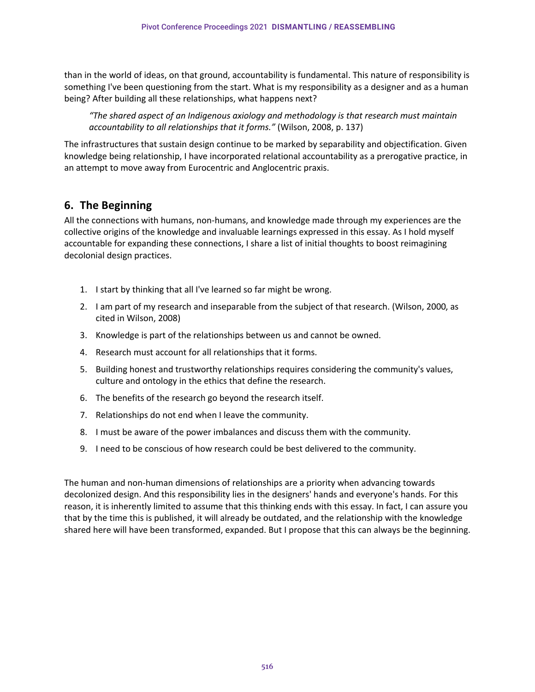than in the world of ideas, on that ground, accountability is fundamental. This nature of responsibility is something I've been questioning from the start. What is my responsibility as a designer and as a human being? After building all these relationships, what happens next?

*"The shared aspect of an Indigenous axiology and methodology is that research must maintain accountability to all relationships that it forms."* (Wilson, 2008, p. 137)

The infrastructures that sustain design continue to be marked by separability and objectification. Given knowledge being relationship, I have incorporated relational accountability as a prerogative practice, in an attempt to move away from Eurocentric and Anglocentric praxis.

## **6. The Beginning**

All the connections with humans, non-humans, and knowledge made through my experiences are the collective origins of the knowledge and invaluable learnings expressed in this essay. As I hold myself accountable for expanding these connections, I share a list of initial thoughts to boost reimagining decolonial design practices.

- 1. I start by thinking that all I've learned so far might be wrong.
- 2. I am part of my research and inseparable from the subject of that research. (Wilson, 2000, as cited in Wilson, 2008)
- 3. Knowledge is part of the relationships between us and cannot be owned.
- 4. Research must account for all relationships that it forms.
- 5. Building honest and trustworthy relationships requires considering the community's values, culture and ontology in the ethics that define the research.
- 6. The benefits of the research go beyond the research itself.
- 7. Relationships do not end when I leave the community.
- 8. I must be aware of the power imbalances and discuss them with the community.
- 9. I need to be conscious of how research could be best delivered to the community.

The human and non-human dimensions of relationships are a priority when advancing towards decolonized design. And this responsibility lies in the designers' hands and everyone's hands. For this reason, it is inherently limited to assume that this thinking ends with this essay. In fact, I can assure you that by the time this is published, it will already be outdated, and the relationship with the knowledge shared here will have been transformed, expanded. But I propose that this can always be the beginning.